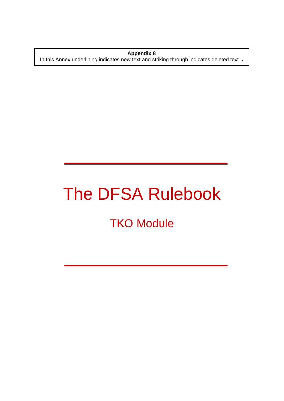**Appendix 8**  In this Annex underlining indicates new text and striking through indicates deleted text. **.** 

# The DFSA Rulebook

# **TKO Module**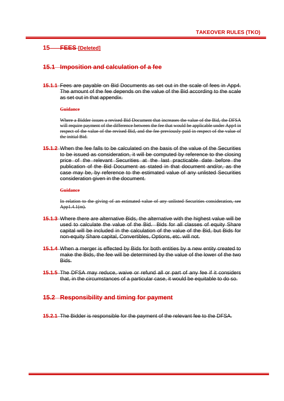# **15 FEES [Deleted]**

### **15.1 Imposition and calculation of a fee**

**15.1.1** Fees are payable on Bid Documents as set out in the scale of fees in App4. The amount of the fee depends on the value of the Bid according to the scale as set out in that appendix.

#### **Guidance**

Where a Bidder issues a revised Bid Document that increases the value of the Bid, the DFSA will require payment of the difference between the fee that would be applicable under App4 in respect of the value of the revised Bid, and the fee previously paid in respect of the value of the initial Bid.

**15.1.2** When the fee falls to be calculated on the basis of the value of the Securities to be issued as consideration, it will be computed by reference to the closing price of the relevant Securities at the last practicable date before the publication of the Bid Document as stated in that document and/or, as the case may be, by reference to the estimated value of any unlisted Securities consideration given in the document.

#### **Guidance**

In relation to the giving of an estimated value of any unlisted Securities consideration, see App1.4.1(m).

- **15.1.3** Where there are alternative Bids, the alternative with the highest value will be used to calculate the value of the Bid. Bids for all classes of equity Share capital will be included in the calculation of the value of the Bid, but Bids for non-equity Share capital, Convertibles, Options, etc. will not.
- **15.1.4** When a merger is effected by Bids for both entities by a new entity created to make the Bids, the fee will be determined by the value of the lower of the two Bids.
- **15.1.5** The DFSA may reduce, waive or refund all or part of any fee if it considers that, in the circumstances of a particular case, it would be equitable to do so.

## **15.2 Responsibility and timing for payment**

**15.2.1** The Bidder is responsible for the payment of the relevant fee to the DFSA.